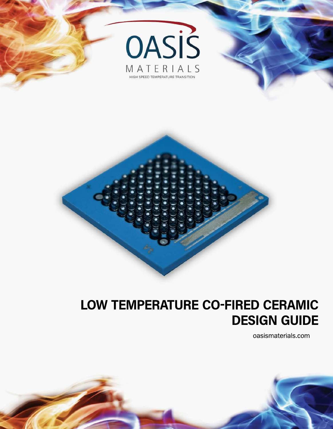



# **LOW TEMPERATURE CO-FIRED CERAMIC DESIGN GUIDE**

oasismaterials.com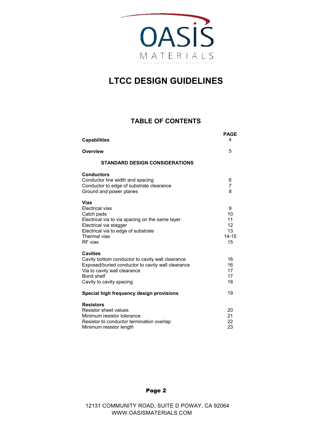

#### **TABLE OF CONTENTS**

| <b>Capabilities</b>                                                                                                                                                                                       | <b>PAGE</b><br>4                             |
|-----------------------------------------------------------------------------------------------------------------------------------------------------------------------------------------------------------|----------------------------------------------|
| <b>Overview</b>                                                                                                                                                                                           | 5                                            |
| <b>STANDARD DESIGN CONSIDERATIONS</b>                                                                                                                                                                     |                                              |
| <b>Conductors</b><br>Conductor line width and spacing<br>Conductor to edge of substrate clearance<br>Ground and power planes                                                                              | 6<br>7<br>8                                  |
| <b>Vias</b><br>Electrical vias<br>Catch pads<br>Electrical via to via spacing on the same layer<br>Electrical via stagger<br>Electrical via to edge of substrate<br>Thermal vias<br>RF vias               | 9<br>10<br>11<br>12<br>13<br>$14 - 15$<br>15 |
| <b>Cavities</b><br>Cavity bottom conductor to cavity wall clearance<br>Exposed/buried conductor to cavity wall clearance<br>Via to cavity wall clearance<br><b>Bond shelf</b><br>Cavity to cavity spacing | 16<br>16<br>17<br>17<br>18                   |
| Special high frequency design provisions                                                                                                                                                                  | 19                                           |
| <b>Resistors</b><br><b>Resistor sheet values</b><br>Minimum resistor tolerance<br>Resistor to conductor termination overlap<br>Minimum resistor length                                                    | 20<br>21<br>22<br>23                         |

Page 2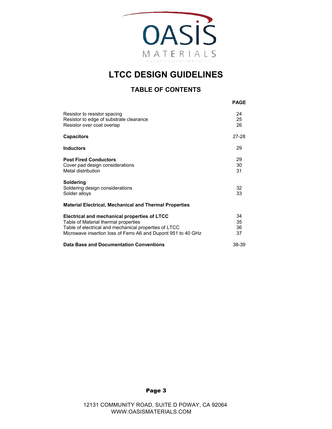

#### **TABLE OF CONTENTS**

|                                                                                                                                                                                                                | <b>PAGE</b>          |
|----------------------------------------------------------------------------------------------------------------------------------------------------------------------------------------------------------------|----------------------|
| Resistor to resistor spacing<br>Resistor to edge of substrate clearance<br>Resistor over coat overlap                                                                                                          | 24<br>25<br>26       |
| <b>Capacitors</b>                                                                                                                                                                                              | 27-28                |
| <b>Inductors</b>                                                                                                                                                                                               | 29                   |
| <b>Post Fired Conductors</b><br>Cover pad design considerations<br>Metal distribution                                                                                                                          | 29<br>30<br>31       |
| Soldering<br>Soldering design considerations<br>Solder alloys                                                                                                                                                  | 32<br>33             |
| <b>Material Electrical, Mechanical and Thermal Properties</b>                                                                                                                                                  |                      |
| Electrical and mechanical properties of LTCC<br>Table of Material thermal properties<br>Table of electrical and mechanical properties of LTCC<br>Microwave insertion loss of Ferro A6 and Dupont 951 to 40 GHz | 34<br>35<br>36<br>37 |
| <b>Data Base and Documentation Conventions</b>                                                                                                                                                                 | 38-39                |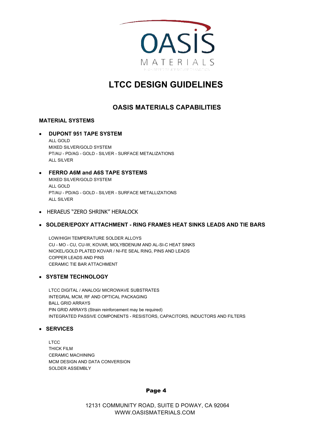

### **OASIS MATERIALS CAPABILITIES**

#### **MATERIAL SYSTEMS**

#### • **DUPONT 951 TAPE SYSTEM** ALL GOLD MIXED SILVER/GOLD SYSTEM PT/AU - PD/AG - GOLD - SILVER - SURFACE METALIZATIONS ALL SILVER

#### • **FERRO A6M and A6S TAPE SYSTEMS**

 MIXED SILVER/GOLD SYSTEM ALL GOLD PT/AU - PD/AG - GOLD - SILVER - SURFACE METALLIZATIONS ALL SILVER

• HERAEUS "ZERO SHRINK" HERALOCK

#### • **SOLDER/EPOXY ATTACHMENT - RING FRAMES HEAT SINKS LEADS AND TIE BARS**

 LOW/HIGH TEMPERATURE SOLDER ALLOYS CU - MO - CU, CU-W, KOVAR, MOLYBDENUM AND AL-SI-C HEAT SINKS NICKEL/GOLD PLATED KOVAR / NI-FE SEAL RING, PINS AND LEADS COPPER LEADS AND PINS CERAMIC TIE BAR ATTACHMENT

#### • **SYSTEM TECHNOLOGY**

 LTCC DIGITAL / ANALOG/ MICROWAVE SUBSTRATES INTEGRAL MCM, RF AND OPTICAL PACKAGING BALL GRID ARRAYS PIN GRID ARRAYS (Strain reinforcement may be required) INTEGRATED PASSIVE COMPONENTS - RESISTORS, CAPACITORS, INDUCTORS AND FILTERS

#### • **SERVICES**

 LTCC THICK FILM CERAMIC MACHINING MCM DESIGN AND DATA CONVERSION SOLDER ASSEMBLY

#### Page 4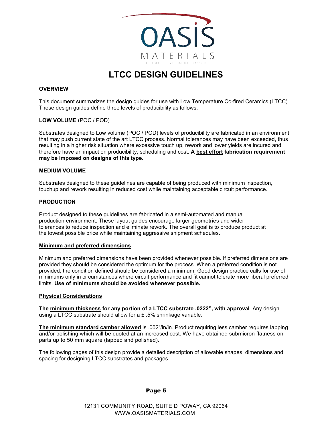

#### **OVERVIEW**

This document summarizes the design guides for use with Low Temperature Co-fired Ceramics (LTCC). These design guides define three levels of producibility as follows:

#### **LOW VOLUME** (POC / POD)

Substrates designed to Low volume (POC / POD) levels of producibility are fabricated in an environment that may push current state of the art LTCC process. Normal tolerances may have been exceeded, thus resulting in a higher risk situation where excessive touch up, rework and lower yields are incured and therefore have an impact on producibility, scheduling and cost. **A best effort fabrication requirement may be imposed on designs of this type.** 

#### **MEDIUM VOLUME**

Substrates designed to these guidelines are capable of being produced with minimum inspection, touchup and rework resulting in reduced cost while maintaining acceptable circuit performance.

#### **PRODUCTION**

Product designed to these guidelines are fabricated in a semi-automated and manual production environment. These layout guides encourage larger geometries and wider tolerances to reduce inspection and eliminate rework. The overall goal is to produce product at the lowest possible price while maintaining aggressive shipment schedules.

#### **Minimum and preferred dimensions**

Minimum and preferred dimensions have been provided whenever possible. If preferred dimensions are provided they should be considered the optimum for the process. When a preferred condition is not provided, the condition defined should be considered a minimum. Good design practice calls for use of minimums only in circumstances where circuit performance and fit cannot tolerate more liberal preferred limits. **Use of minimums should be avoided whenever possible.**

#### **Physical Considerations**

**The minimum thickness for any portion of a LTCC substrate .0222", with approval**. Any design using a LTCC substrate should allow for  $a \pm 0.5\%$  shrinkage variable.

**The minimum standard camber allowed** is .002"/in/in. Product requiring less camber requires lapping and/or polishing which will be quoted at an increased cost. We have obtained submicron flatness on parts up to 50 mm square (lapped and polished).

The following pages of this design provide a detailed description of allowable shapes, dimensions and spacing for designing LTCC substrates and packages.

#### Page 5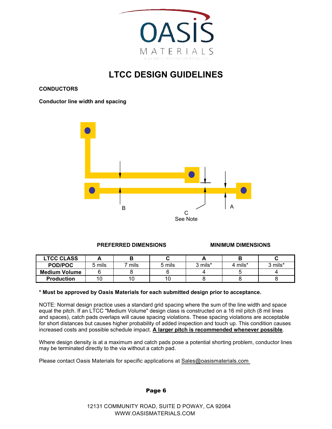

**CONDUCTORS**

**Conductor line width and spacing**



#### **PREFERRED DIMENSIONS MINIMUM DIMENSIONS**

| <b>LTCC CLASS</b>    |        |      |        |         |         |         |
|----------------------|--------|------|--------|---------|---------|---------|
| <b>POD/POC</b>       | 5 mils | mils | 5 mils | 3 mils* | 4 mils* | 3 mils* |
| <b>Medium Volume</b> |        |      |        |         |         |         |
| <b>Production</b>    |        |      | 10     |         |         |         |

#### **\* Must be approved by Oasis Materials for each submitted design prior to acceptance.**

NOTE: Normal design practice uses a standard grid spacing where the sum of the line width and space equal the pitch. If an LTCC "Medium Volume" design class is constructed on a 16 mil pitch (8 mil lines and spaces), catch pads overlaps will cause spacing violations. These spacing violations are acceptable for short distances but causes higher probability of added inspection and touch up. This condition causes increased costs and possible schedule impact. **A larger pitch is recommended whenever possible**.

Where design density is at a maximum and catch pads pose a potential shorting problem, conductor lines may be terminated directly to the via without a catch pad.

Please contact Oasis Materials for specific applications at Sales@oasismaterials.com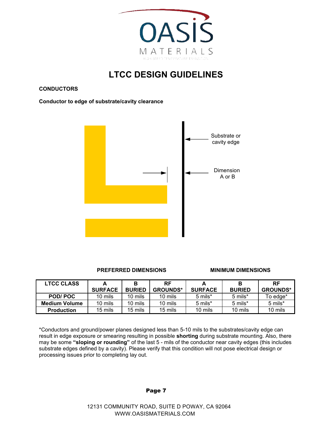

**CONDUCTORS**

**Conductor to edge of substrate/cavity clearance**



**PREFERRED DIMENSIONS MINIMUM DIMENSIONS** 

| <b>LTCC CLASS</b>    |                | в             | RF              |                |               | <b>RF</b>       |
|----------------------|----------------|---------------|-----------------|----------------|---------------|-----------------|
|                      | <b>SURFACE</b> | <b>BURIED</b> | <b>GROUNDS*</b> | <b>SURFACE</b> | <b>BURIED</b> | <b>GROUNDS*</b> |
| POD/POC              | 10 mils        | 10 mils       | 10 mils         | 5 mils*        | 5 mils*       | To edge*        |
| <b>Medium Volume</b> | 10 mils        | 10 mils       | 10 mils         | 5 mils*        | 5 mils*       | 5 mils*         |
| <b>Production</b>    | 15 mils        | 15 mils       | 15 mils         | 10 mils        | 10 mils       | 10 mils         |

\*Conductors and ground/power planes designed less than 5-10 mils to the substrates/cavity edge can result in edge exposure or smearing resulting in possible **shorting** during substrate mounting. Also, there may be some **"sloping or rounding"** of the last 5 - mils of the conductor near cavity edges (this includes substrate edges defined by a cavity). Please verify that this condition will not pose electrical design or processing issues prior to completing lay out.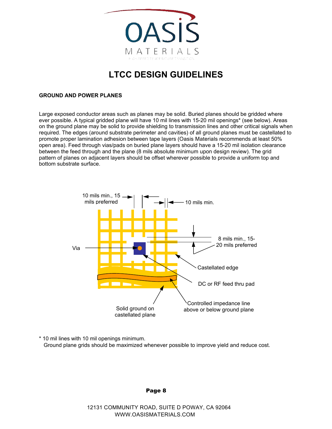

#### **GROUND AND POWER PLANES**

Large exposed conductor areas such as planes may be solid. Buried planes should be gridded where ever possible. A typical gridded plane will have 10 mil lines with 15-20 mil openings\* (see below). Areas on the ground plane may be solid to provide shielding to transmission lines and other critical signals when required. The edges (around substrate perimeter and cavities) of all ground planes must be castellated to promote proper lamination adhesion between tape layers ( Oasis Materials recommends at least 50% open area). Feed through vias/pads on buried plane layers should have a 15-20 mil isolation clearance between the feed through and the plane (8 mils absolute minimum upon design review). The grid pattern of planes on adjacent layers should be offset wherever possible to provide a uniform top and bottom substrate surface.



\* 10 mil lines with 10 mil openings minimum. Ground plane grids should be maximized whenever possible to improve yield and reduce cost.

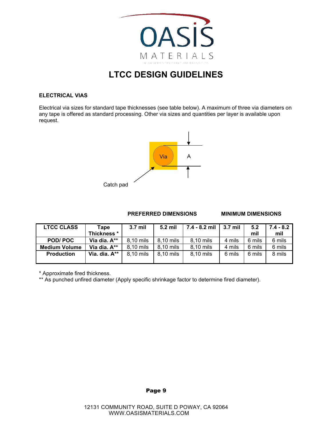

#### **ELECTRICAL VIAS**

Electrical via sizes for standard tape thicknesses (see table below). A maximum of three via diameters on any tape is offered as standard processing. Other via sizes and quantities per layer is available upon request.



#### **PREFERRED DIMENSIONS MINIMUM DIMENSIONS**

| <b>LTCC CLASS</b>    | Tape<br>Thickness * | $3.7$ mil | 5.2 mil   | $7.4 - 8.2$ mil | 3.7 mil | 5.2<br>mil | $7.4 - 8.2$<br>mil |
|----------------------|---------------------|-----------|-----------|-----------------|---------|------------|--------------------|
| <b>POD/POC</b>       | Via dia. A**        | 8,10 mils | 8,10 mils | 8,10 mils       | 4 mils  | 6 mils     | 6 mils             |
| <b>Medium Volume</b> | Via dia. A**        | 8,10 mils | 8,10 mils | 8,10 mils       | 4 mils  | 6 mils     | 6 mils             |
| <b>Production</b>    | Via. dia. A**       | 8,10 mils | 8,10 mils | 8,10 mils       | 6 mils  | 6 mils     | 8 mils             |

\* Approximate fired thickness.

\*\* As punched unfired diameter (Apply specific shrinkage factor to determine fired diameter).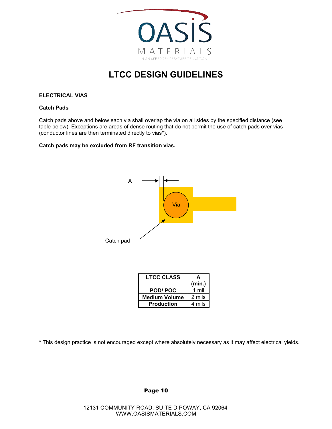

#### **ELECTRICAL VIAS**

#### **Catch Pads**

Catch pads above and below each via shall overlap the via on all sides by the specified distance (see table below). Exceptions are areas of dense routing that do not permit the use of catch pads over vias (conductor lines are then terminated directly to vias\*).

#### **Catch pads may be excluded from RF transition vias.**



| LTCC CLASS           | A      |
|----------------------|--------|
|                      | (min.) |
| <b>POD/POC</b>       | 1 mil  |
| <b>Medium Volume</b> | 2 mils |
| <b>Production</b>    | 4 mils |

\* This design practice is not encouraged except where absolutely necessary as it may affect electrical yields.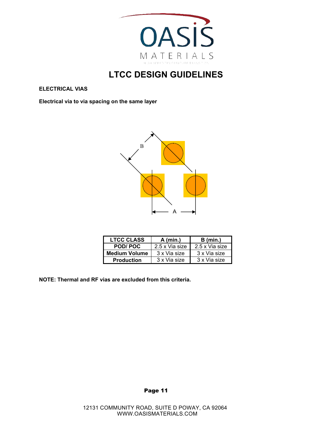

**ELECTRICAL VIAS**

**Electrical via to via spacing on the same layer**



| <b>LTCC CLASS</b>    | $A$ (min.)     | $B$ (min.)     |
|----------------------|----------------|----------------|
| POD/POC              | 2.5 x Via size | 2.5 x Via size |
| <b>Medium Volume</b> | 3 x Via size   | 3 x Via size   |
| <b>Production</b>    | 3 x Via size   | 3 x Via size   |

**NOTE: Thermal and RF vias are excluded from this criteria.**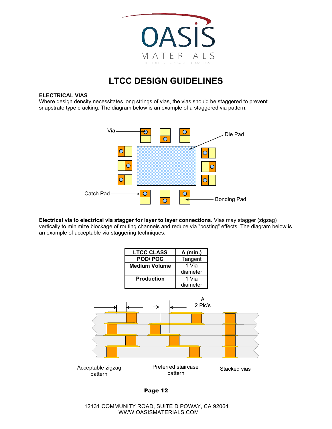

#### **ELECTRICAL VIAS**

Where design density necessitates long strings of vias, the vias should be staggered to prevent snapstrate type cracking. The diagram below is an example of a staggered via pattern.



**Electrical via to electrical via stagger for layer to layer connections.** Vias may stagger (zigzag) vertically to minimize blockage of routing channels and reduce via "posting" effects. The diagram below is an example of acceptable via staggering techniques.

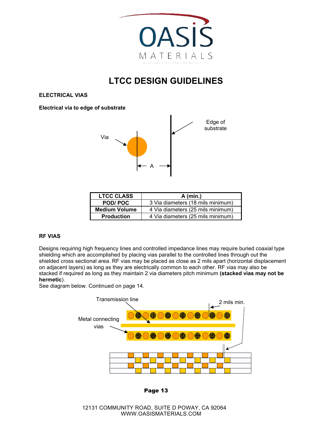

**ELECTRICAL VIAS**

**Electrical via to edge of substrate**



| <b>LTCC CLASS</b>    | $A$ (min.)                        |  |  |
|----------------------|-----------------------------------|--|--|
| POD/POC              | 3 Via diameters (18 mils minimum) |  |  |
| <b>Medium Volume</b> | 4 Via diameters (25 mils minimum) |  |  |
| <b>Production</b>    | 4 Via diameters (25 mils minimum) |  |  |

#### **RF VIAS**

Designs requiring high frequency lines and controlled impedance lines may require buried coaxial type shielding which are accomplished by placing vias parallel to the controlled lines through out the shielded cross sectional area. RF vias may be placed as close as 2 mils apart (horizontal displacement on adjacent layers) as long as they are electrically common to each other. RF vias may also be stacked if required as long as they maintain 2 via diameters pitch minimum **( tacked vias may not be s hermetic**).

See diagram below. Continued on page 14.



Page 13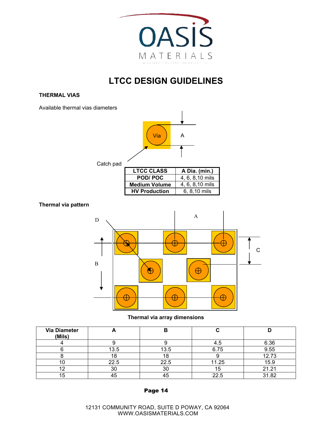

#### **THERMAL VIAS**

Available thermal vias diameters



#### **Thermal via pattern**



#### **Thermal via array dimensions**

| <b>Via Diameter</b><br>(Mils) |      |      |       |       |
|-------------------------------|------|------|-------|-------|
|                               |      |      | 4.O   | 6.36  |
|                               | 13.5 | 13.5 | 6.75  | 9.55  |
|                               | 18   | ١o   |       | 12.73 |
| I U                           | 22.5 | 22.5 | 11.25 | 15.9  |
| 1 C                           | 30   | 30   | 15    | 21.21 |
| 15                            | 45   |      | 22.5  | 31.82 |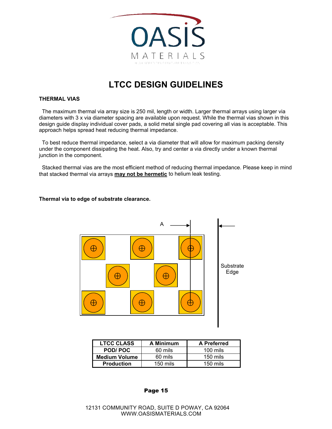

#### **THERMAL VIAS**

 The maximum thermal via array size is 250 mil, length or width. Larger thermal arrays using larger via diameters with 3 x via diameter spacing are available upon request. While the thermal vias shown in this design guide display individual cover pads, a solid metal single pad covering all vias is acceptable. This approach helps spread heat reducing thermal impedance.

 To best reduce thermal impedance, select a via diameter that will allow for maximum packing density under the component dissipating the heat. Also, try and center a via directly under a known thermal junction in the component.

 Stacked thermal vias are the most efficient method of reducing thermal impedance. Please keep in mind that stacked thermal via arrays **may not be hermetic** to helium leak testing.

#### **Thermal via to edge of substrate clearance.**



| <b>LTCC CLASS</b>    | A Minimum  | <b>A</b> Preferred  |
|----------------------|------------|---------------------|
| <b>POD/POC</b>       | 60 mils    | $100 \text{ miles}$ |
| <b>Medium Volume</b> | 60 mils    | $150$ mils          |
| <b>Production</b>    | $150$ mils | $150 \text{ miles}$ |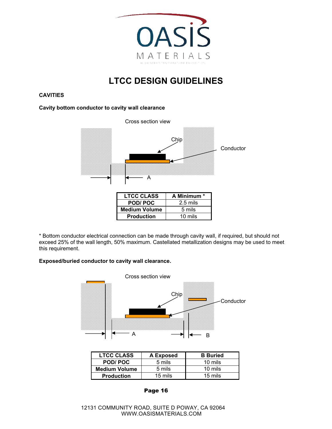

#### **CAVITIES**

#### **Cavity bottom conductor to cavity wall clearance**



\* Bottom conductor electrical connection can be made through cavity wall, if required, but should not exceed 25% of the wall length, 50% maximum. Castellated metallization designs may be used to meet this requirement.

#### **Exposed/buried conductor to cavity wall clearance.**



| <b>LTCC CLASS</b>    | A Exposed | <b>B</b> Buried |
|----------------------|-----------|-----------------|
| POD/POC              | 5 mils    | 10 mils         |
| <b>Medium Volume</b> | 5 mils    | 10 mils         |
| <b>Production</b>    | 15 mils   | 15 mils         |

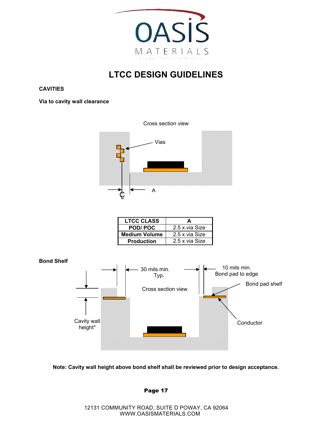

#### **CAVITIES**

**Via to cavity wall clearance**



| 2.5 x via Size |
|----------------|
| 2.5 x via Size |
| 2.5 x via Size |
|                |



**Note: Cavity wall height above bond shelf shall be reviewed prior to design acceptance.**

Page 17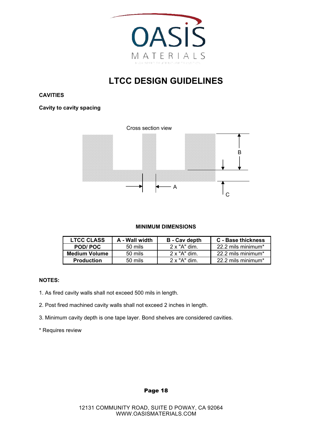

**CAVITIES**

**Cavity to cavity spacing**



#### **MINIMUM DIMENSIONS**

| <b>LTCC CLASS</b>    | A - Wall width     | <b>B</b> - Cav depth | <b>C</b> - Base thickness |
|----------------------|--------------------|----------------------|---------------------------|
| POD/POC              | 50 mils            | $2 \times$ "A" dim.  | 22.2 mils minimum*        |
| <b>Medium Volume</b> | 50 mils            | $2 \times$ "A" dim.  | 22.2 mils minimum*        |
| <b>Production</b>    | $50 \text{ miles}$ | $2 \times$ "A" dim   | 22.2 mils minimum*        |

#### **NOTES:**

- 1. As fired cavity walls shall not exceed 500 mils in length.
- 2. Post fired machined cavity walls shall not exceed 2 inches in length.
- 3. Minimum cavity depth is one tape layer. Bond shelves are considered cavities.
- \* Requires review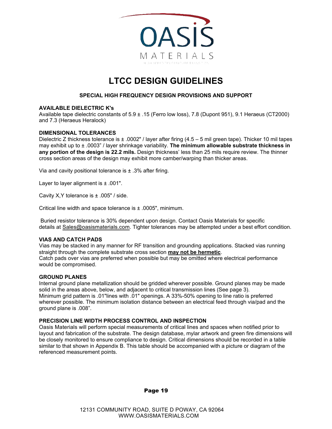

#### **SPECIAL HIGH FREQUENCY DESIGN PROVISIONS AND SUPPORT**

#### **AVAILABLE DIELECTRIC K's**

Available tape dielectric constants of 5.9 ± .15 (Ferro low loss), 7.8 (Dupont 951), 9.1 Heraeus (CT2000) and 7.3 (Heraeus Heralock)

#### **DIMENSIONAL TOLERANCES**

Dielectric Z thickness tolerance is ± .0002" / layer after firing (4.5 – 5 mil green tape). Thicker 10 mil tapes may exhibit up to ± .0003" / layer shrinkage variability. **The minimum allowable substrate thickness in any portion of the design is 22.2 mils.** Design thickness' less than 25 mils require review. The thinner cross section areas of the design may exhibit more camber/warping than thicker areas.

Via and cavity positional tolerance is  $\pm$  .3% after firing.

Layer to layer alignment is  $\pm$  .001".

Cavity X,Y tolerance is ± .005" / side.

Critical line width and space tolerance is ± .0005", minimum.

 Buried resistor tolerance is 30% dependent upon design. Contact Oasis Materials for specific details at Sales@oasismaterials.com. Tighter tolerances may be attempted under a best effort condition.

#### **VIAS AND CATCH PADS**

Vias may be stacked in any manner for RF transition and grounding applications. Stacked vias running straight through the complete substrate cross section **may not be hermetic**. Catch pads over vias are preferred when possible but may be omitted where electrical performance would be compromised.

#### **GROUND PLANES**

Internal ground plane metallization should be gridded wherever possible. Ground planes may be made solid in the areas above, below, and adjacent to critical transmission lines (See page 3). Minimum grid pattern is .01"lines with .01" openings. A 33%-50% opening to line ratio is preferred wherever possible. The minimum isolation distance between an electrical feed through via/pad and the ground plane is .008".

#### **PRECISION LINE WIDTH PROCESS CONTROL AND INSPECTION**

Oasis Materials will perform special measurements of critical lines and spaces when notified prior to layout and fabrication of the substrate. The design database, mylar artwork and green fire dimensions will be closely monitored to ensure compliance to design. Critical dimensions should be recorded in a table similar to that shown in Appendix B. This table should be accompanied with a picture or diagram of the referenced measurement points.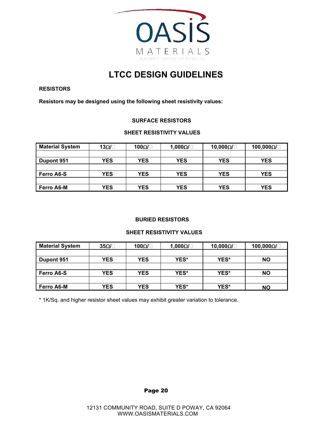

#### **RESISTORS**

**Resistors may be designed using the following sheet resistivity values:** 

#### **SURFACE RESISTORS**

#### **SHEET RESISTIVITY VALUES**

| <b>Material System</b> | 13Ω/⊟ | 100Ω/ $\Box$ | 1,000Ω/ | 10,000 $\Omega/\Box$ | 100,000 $\Omega$ |
|------------------------|-------|--------------|---------|----------------------|------------------|
|                        |       |              |         |                      |                  |
| Dupont 951             | YES   | <b>YES</b>   | YES     | <b>YES</b>           | <b>YES</b>       |
|                        |       |              |         |                      |                  |
| Ferro A6-S             | YES   | YES          | YES     | <b>YES</b>           | <b>YES</b>       |
|                        |       |              |         |                      |                  |
| Ferro A6-M             | YES   | YES          | YES     | YES                  | <b>YES</b>       |

#### **BURIED RESISTORS**

#### **SHEET RESISTIVITY VALUES**

| <b>Material System</b> | $35\Omega$ / $\Box$ | 100Ω/ $\Box$ | 1,000 $\Omega/\Box$ | 10,000 $\Omega$ $\Box$ | 100,000 $\Omega$ / $\Box$ |
|------------------------|---------------------|--------------|---------------------|------------------------|---------------------------|
|                        |                     |              |                     |                        |                           |
| Dupont 951             | <b>YES</b>          | <b>YES</b>   | YES*                | YES*                   | <b>NO</b>                 |
|                        |                     |              |                     |                        |                           |
| <b>Ferro A6-S</b>      | <b>YES</b>          | YES          | YES*                | YES*                   | <b>NO</b>                 |
|                        |                     |              |                     |                        |                           |
| <b>Ferro A6-M</b>      | YES                 | YES          | <b>YES*</b>         | YES*                   | <b>NO</b>                 |

\* 1K/Sq. and higher resistor sheet values may exhibit greater variation to tolerance.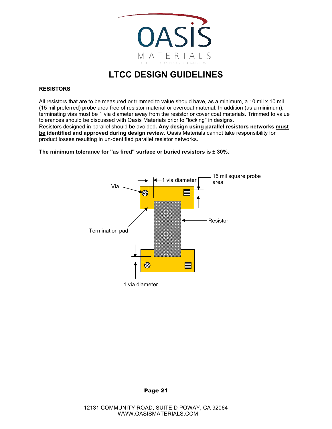

#### **RESISTORS**

All resistors that are to be measured or trimmed to value should have, as a minimum, a 10 mil x 10 mil (15 mil preferred) probe area free of resistor material or overcoat material. In addition ( as a minimum ), terminating vias must be 1 via diameter away from the resistor or cover coat materials. Trimmed to value tolerances should be discussed with Oasis Materials prior to "locking" in designs.

Resistors designed in parallel should be avoided**. Any design using parallel resistors networks must be identified and approved during design review.** Oasis Materials cannot take responsibility for product losses resulting in un-dentified parallel resistor networks.

**The minimum tolerance for "as fired" surface or buried resistors is ± 30%.**



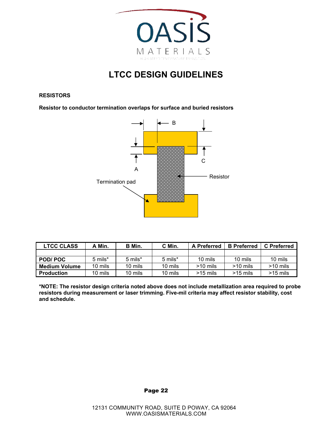

#### **RESISTORS**

**Resistor to conductor termination overlaps for surface and buried resistors**



| <b>LTCC CLASS</b>    | Min.    | B Min.  | C Min.  | <b>A</b> Preferred | <b>B</b> Preferred | <b>C</b> Preferred |
|----------------------|---------|---------|---------|--------------------|--------------------|--------------------|
|                      |         |         |         |                    |                    |                    |
| POD/POC              | 5 mils* | 5 mils* | 5 mils* | 10 mils            | 10 mils            | 10 mils            |
| <b>Medium Volume</b> | 10 mils | 10 mils | 10 mils | $>10$ mils         | $>10$ mils         | $>10$ mils         |
| <b>Production</b>    | 10 mils | 10 mils | 10 mils | $>15$ mils         | $>15$ mils         | $>15$ mils         |

**\*NOTE: The resistor design criteria noted above does not include metallization area required to probe resistors during measurement or laser trimming. Five-mil criteria may affect resistor stability, cost and schedule.**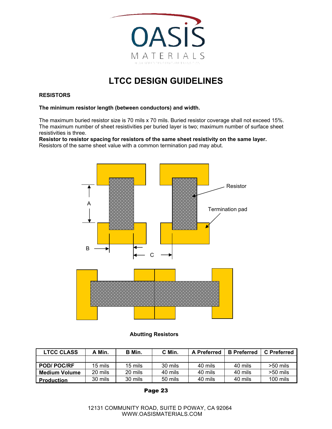

#### **RESISTORS**

#### **The minimum resistor length (between conductors) and width.**

The maximum buried resistor size is 70 mils x 70 mils. Buried resistor coverage shall not exceed 15%. The maximum number of sheet resistivities per buried layer is two; maximum number of surface sheet resistivities is three.

**Resistor to resistor spacing for resistors of the same sheet resistivity on the same layer.** Resistors of the same sheet value with a common termination pad may abut.



#### **Abutting Resistors**

| <b>LTCC CLASS</b> | A Min.  | B Min.  | C Min.  | <b>A</b> Preferred | <b>B</b> Preferred | <b>C</b> Preferred |
|-------------------|---------|---------|---------|--------------------|--------------------|--------------------|
|                   |         |         |         |                    |                    |                    |
| <b>POD/POC/RF</b> | 15 mils | 15 mils | 30 mils | 40 mils            | 40 mils            | $>50$ mils         |
| l Medium Volume   | 20 mils | 20 mils | 40 mils | 40 mils            | 40 mils            | >50 mils           |
| <b>Production</b> | 30 mils | 30 mils | 50 mils | 40 mils            | 40 mils            | 100 mils           |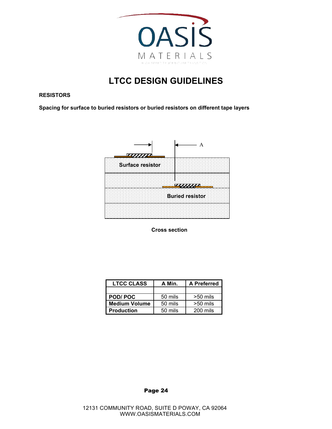

#### **RESISTORS**

**Spacing for surface to buried resistors or buried resistors on different tape layers**



**Cross section** 

| <b>LTCC CLASS</b> | A Min.  | A Preferred |  |
|-------------------|---------|-------------|--|
|                   |         |             |  |
| <b>POD/POC</b>    | 50 mils | $>50$ mils  |  |
| Medium Volume     | 50 mils | $>50$ mils  |  |
| Production        | 50 mils | 200 mils    |  |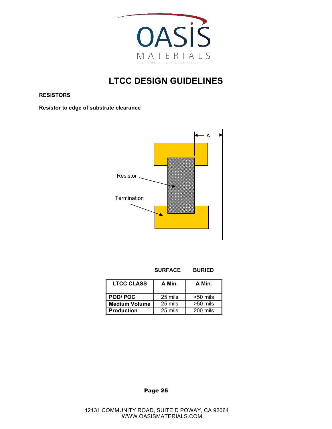

**RESISTORS**

**Resistor to edge of substrate clearance**



| <b>LTCC CLASS</b> | A Min.  | A Min.     |
|-------------------|---------|------------|
|                   |         |            |
| <b>POD/POC</b>    | 25 mils | $>50$ mils |
| Medium Volume     | 25 mils | $>50$ mils |
| <b>Production</b> | 25 mils | 200 mils   |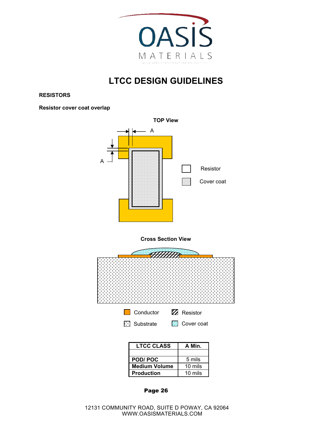

**RESISTORS**

**Resistor cover coat overlap**



| - - - - -            |         |
|----------------------|---------|
|                      |         |
| POD/POC              | 5 mils  |
| <b>Medium Volume</b> | 10 mils |
| <b>Production</b>    | 10 mils |
|                      |         |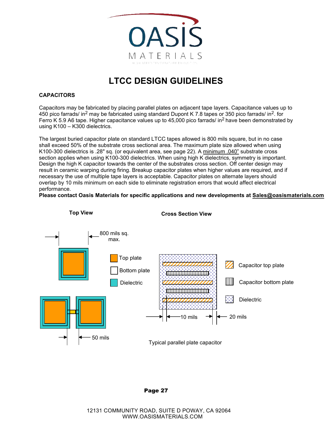

#### **CAPACITORS**

Capacitors may be fabricated by placing parallel plates on adjacent tape layers. Capacitance values up to 450 pico farrads/ in2 may be fabricated using standard Dupont K 7.8 tapes or 350 pico farrads/ in2. for Ferro K 5.9 A6 tape. Higher capacitance values up to 45,000 pico farrads/ in2 have been demonstrated by using K100 – K300 dielectrics.

The largest buried capacitor plate on standard LTCC tapes allowed is 800 mils square, but in no case shall exceed 50% of the substrate cross sectional area. The maximum plate size allowed when using K100-300 dielectrics is .28" sq. (or equivalent area, see page 22). A minimum .040" substrate cross section applies when using K100-300 dielectrics. When using high K dielectrics, symmetry is important. Design the high K capacitor towards the center of the substrates cross section. Off center design may result in ceramic warping during firing. Breakup capacitor plates when higher values are required, and if necessary the use of multiple tape layers is acceptable. Capacitor plates on alternate layers should overlap by 10 mils minimum on each side to eliminate registration errors that would affect electrical performance.

**Please contact Oasis Materials for specific applications and new developments at Sales@oasismaterials.com**



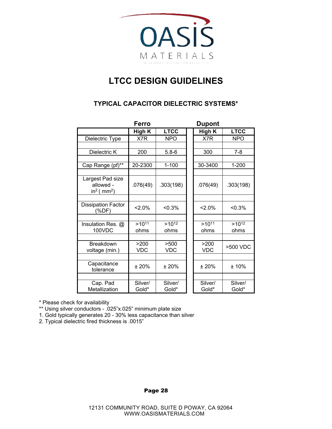

### **TYPICAL CAPACITOR DIELECTRIC SYSTEMS\***

|                                                                      | Ferro              |                    | <b>Dupont</b>      |                    |
|----------------------------------------------------------------------|--------------------|--------------------|--------------------|--------------------|
|                                                                      | High K             | <b>LTCC</b>        | <b>High K</b>      | <b>LTCC</b>        |
| Dielectric Type                                                      | X7R                | <b>NPO</b>         | X7R                | <b>NPO</b>         |
|                                                                      |                    |                    |                    |                    |
| Dielectric K                                                         | 200                | $5.8 - 6$          | 300                | $7 - 8$            |
|                                                                      |                    |                    |                    |                    |
| Cap Range (pf)**                                                     | 20-2300            | $1 - 100$          | 30-3400            | $1 - 200$          |
| Largest Pad size<br>allowed -<br>in <sup>2</sup> ( mm <sup>2</sup> ) | .076(49)           | .303(198)          | .076(49)           | .303(198)          |
| <b>Dissipation Factor</b><br>(%DF)                                   | $2.0\%$            | < 0.3%             | $2.0\%$            | < 0.3%             |
| Insulation Res. @<br>100VDC                                          | $>10^{11}$<br>ohms | $>10^{12}$<br>ohms | $>10^{11}$<br>ohms | $>10^{12}$<br>ohms |
|                                                                      |                    |                    |                    |                    |
| <b>Breakdown</b><br>voltage (min.)                                   | >200<br><b>VDC</b> | >500<br><b>VDC</b> | >200<br>VDC        | >500 VDC           |
|                                                                      |                    |                    |                    |                    |
| Capacitance<br>tolerance                                             | ± 20%              | ± 20%              | ± 20%              | ±10%               |
|                                                                      |                    |                    |                    |                    |
| Cap. Pad<br>Metallization                                            | Silver/<br>Gold*   | Silver/<br>Gold*   | Silver/<br>Gold*   | Silver/<br>Gold*   |

\* Please check for availability

\*\* Using silver conductors - .025"x.025" minimum plate size

1. Gold typically generates 20 - 30% less capacitance than silver

2. Typical dielectric fired thickness is .0015"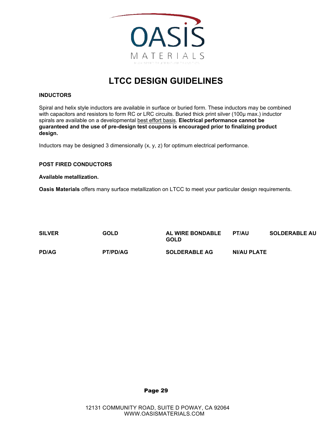

#### **INDUCTORS**

Spiral and helix style inductors are available in surface or buried form. These inductors may be combined with capacitors and resistors to form RC or LRC circuits. Buried thick print silver (100µ max.) inductor spirals are available on a developmental best effort basis. **Electrical performance cannot be guaranteed and the use of pre-design test coupons is encouraged prior to finalizing product design.**

Inductors may be designed 3 dimensionally (x, y, z) for optimum electrical performance.

#### **POST FIRED CONDUCTORS**

#### **Available metallization.**

**Oasis Materials** offers many surface metallization on LTCC to meet your particular design requirements.

| <b>SILVER</b> | <b>GOLD</b>     | <b>AL WIRE BONDABLE</b><br><b>GOLD</b> | <b>PT/AU</b> | <b>SOLDERABLE AU</b> |
|---------------|-----------------|----------------------------------------|--------------|----------------------|
| <b>PD/AG</b>  | <b>PT/PD/AG</b> | <b>SOLDERABLE AG</b>                   | NI/AU PLATE  |                      |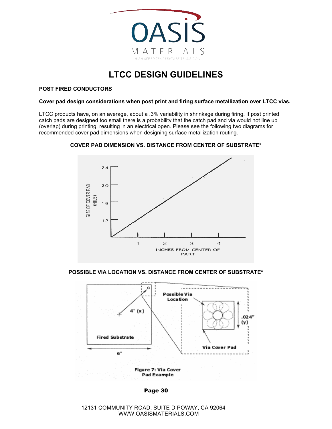

#### **POST FIRED CONDUCTORS**

#### **Cover pad design considerations when post print and firing surface metallization over LTCC vias.**

LTCC products have, on an average, about a .3% variability in shrinkage during firing. If post printed catch pads are designed too small there is a probability that the catch pad and via would not line up (overlap) during printing, resulting in an electrical open. Please see the following two diagrams for recommended cover pad dimensions when designing surface metallization routing.



#### **COVER PAD DIMENSION VS. DISTANCE FROM CENTER OF SUBSTRATE\***

**POSSIBLE VIA LOCATION VS. DISTANCE FROM CENTER OF SUBSTRATE\***



Page 30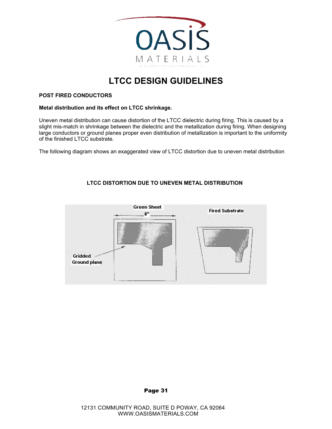

#### **POST FIRED CONDUCTORS**

#### **Metal distribution and its effect on LTCC shrinkage.**

Uneven metal distribution can cause distortion of the LTCC dielectric during firing. This is caused by a slight mis-match in shrinkage between the dielectric and the metallization during firing. When designing large conductors or ground planes proper even distribution of metallization is important to the uniformity of the finished LTCC substrate.

The following diagram shows an exaggerated view of LTCC distortion due to uneven metal distribution

#### **LTCC DISTORTION DUE TO UNEVEN METAL DISTRIBUTION**

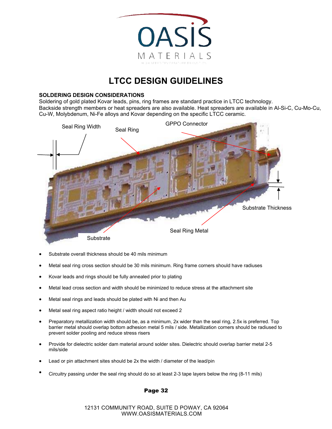

#### **SOLDERING DESIGN CONSIDERATIONS**

Soldering of gold plated Kovar leads, pins, ring frames are standard practice in LTCC technology. Backside strength members or heat spreaders are also available. Heat spreaders are available in Al-Si-C, Cu-Mo-Cu, Cu-W, Molybdenum, Ni-Fe alloys and Kovar depending on the specific LTCC ceramic.



- Substrate overall thickness should be 40 mils minimum
- Metal seal ring cross section should be 30 mils minimum. Ring frame corners should have radiuses
- Kovar leads and rings should be fully annealed prior to plating
- Metal lead cross section and width should be minimized to reduce stress at the attachment site
- Metal seal rings and leads should be plated with Ni and then Au
- Metal seal ring aspect ratio height / width should not exceed 2
- Preparatory metallization width should be, as a minimum, 2x wider than the seal ring, 2.5x is preferred. Top barrier metal should overlap bottom adhesion metal 5 mils / side. Metallization corners should be radiused to prevent solder pooling and reduce stress risers
- Provide for dielectric solder dam material around solder sites. Dielectric should overlap barrier metal 2-5 mils/side
- Lead or pin attachment sites should be 2x the width / diameter of the lead/pin
- Circuitry passing under the seal ring should do so at least 2-3 tape layers below the ring (8-11 mils)

#### Page 32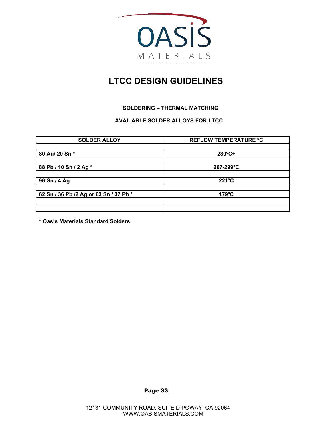

#### **SOLDERING – THERMAL MATCHING**

#### **AVAILABLE SOLDER ALLOYS FOR LTCC**

| <b>SOLDER ALLOY</b>                    | <b>REFLOW TEMPERATURE °C</b> |
|----------------------------------------|------------------------------|
|                                        |                              |
| 80 Au/ 20 Sn *                         | $280^{\circ}C +$             |
|                                        |                              |
| 88 Pb / 10 Sn / 2 Ag *                 | 267-299°C                    |
|                                        |                              |
| 96 Sn / 4 Ag                           | $221^{\circ}C$               |
|                                        |                              |
| 62 Sn / 36 Pb /2 Ag or 63 Sn / 37 Pb * | $179^{\circ}$ C              |
|                                        |                              |
|                                        |                              |

**\* Oasis Materials Standard Solders**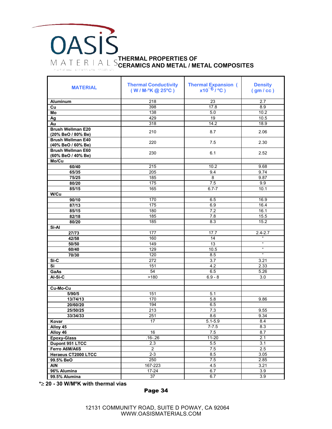## **OASIS THERMAL PROPERTIES OF CERAMICS AND METAL / METAL COMPOSITES** HIGH SPEED EVPERATURE RANSITION

| <b>MATERIAL</b>          | <b>Thermal Conductivity</b><br>$(W/M.^oK@25^oC)$ | <b>Thermal Expansion (</b><br>$x10^{-6}/^{\circ}C$ ) | <b>Density</b><br>(gm/cc)                 |
|--------------------------|--------------------------------------------------|------------------------------------------------------|-------------------------------------------|
| <b>Aluminum</b>          | 218                                              | 23                                                   | 2.7                                       |
| Cu                       | 398                                              | 17.8                                                 | 8.9                                       |
| Mo                       | 138                                              | 5.0                                                  | 10.2                                      |
| Ag                       | 429                                              | 19                                                   | 10.5                                      |
| Au                       | 318                                              | 14.2                                                 | 18.9                                      |
| <b>Brush Wellman E20</b> | 210                                              | 8.7                                                  | 2.06                                      |
| (20% BeO / 80% Be)       |                                                  |                                                      |                                           |
| <b>Brush Wellman E40</b> | 220                                              | 7.5                                                  | 2.30                                      |
| (40% BeO / 60% Be)       |                                                  |                                                      |                                           |
| <b>Brush Wellman E60</b> | 230                                              | 6.1                                                  | 2.52                                      |
| (60% BeO / 40% Be)       |                                                  |                                                      |                                           |
| Mo/Cu                    |                                                  |                                                      |                                           |
| 60/40                    | 215                                              | 10.2                                                 | 9.68                                      |
| 65/35                    | 205                                              | 9.4                                                  | 9.74                                      |
| 75/25                    | 185                                              | $\overline{8}$                                       | 9.87                                      |
| 80/20                    | 175                                              | 7.5                                                  | 9.9                                       |
| 85/15                    | 165                                              | $6.7 - 7$                                            | 10.1                                      |
| W/Cu                     |                                                  |                                                      |                                           |
| 90/10                    | 170                                              | 6.5                                                  | 16.9                                      |
| 87/13                    | 175                                              | 6.9                                                  | 16.4                                      |
| 85/15                    | 180                                              | 7.2                                                  | 16.1                                      |
| 82/18                    | 185                                              | 7.8                                                  | 15.5                                      |
| 80/20                    | 185                                              | 8.3                                                  | 15.2                                      |
| Si-Al                    |                                                  |                                                      |                                           |
| 27/73                    | 177                                              | 17.7                                                 | $2.4 - 2.7$<br>$\mathfrak{c}\mathfrak{c}$ |
| 42/58                    | 160                                              | 14                                                   | $\boldsymbol{\mathfrak{c}}$               |
| 50/50                    | 149                                              | 13                                                   | $\mathfrak{a}$                            |
| 60/40                    | 129                                              | 10.5                                                 | $\alpha$                                  |
| 70/30                    | 120<br>272                                       | 8.5<br>3.7                                           | 3.21                                      |
| Si-C<br>Si               | 151                                              | 4.2                                                  | 2.33                                      |
| GaAs                     | 54                                               | 6.5                                                  | 5.26                                      |
| Al-Si-C                  | >180                                             | $6.9 - 8$                                            |                                           |
|                          |                                                  |                                                      | 3.0                                       |
| Cu-Mo-Cu                 |                                                  |                                                      |                                           |
| 5/90/5                   | 151                                              | 5.1                                                  |                                           |
| 13/74/13                 | 170                                              | 5.8                                                  | 9.86                                      |
| 20/60/20                 | 194                                              | 6.5                                                  |                                           |
| 25/50/25                 | 213                                              | 7.3                                                  | 9.55                                      |
| 33/34/33                 | 251                                              | 8.6                                                  | 9.34                                      |
| Kovar                    | 17                                               | $5.1 - 5.9$                                          | 8.4                                       |
| Alloy 45                 |                                                  | $7 - 7.5$                                            | 8.3                                       |
| Alloy 46                 | 16                                               | 7.5                                                  | 8.7                                       |
| <b>Epoxy-Glass</b>       | $.16 - .26$                                      | $11 - 20$                                            | 2.1                                       |
| Dupont 951 LTCC          | 2.3                                              | 5.5                                                  | 3.1                                       |
| Ferro A6M/A6S            | $\overline{2}$                                   | 7.5                                                  | 2.5                                       |
| Heraeus CT2000 LTCC      | $2 - 3$                                          | 8.5                                                  | 3.05                                      |
| 99.5% BeO                | 250                                              | 7.5                                                  | 2.85                                      |
| <b>AIN</b>               | 167-223                                          | 4.5                                                  | 3.21                                      |
| 96% Alumina              | 17-24                                            | 6.7                                                  | 3.9                                       |
| 99.5% Alumina            | 37                                               | 6.7                                                  | 3.9                                       |

**\***≥ **20 - 30 W/MºK with thermal vias**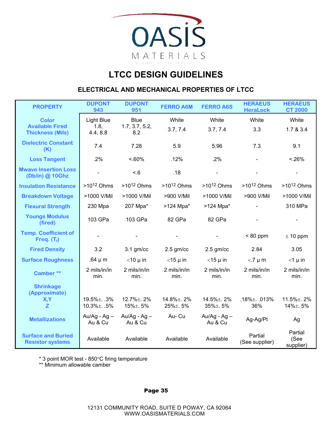

#### **ELECTRICAL AND MECHANICAL PROPERTIES OF LTCC**

| <b>PROPERTY</b>                                      | <b>DUPONT</b><br>943             | <b>DUPONT</b><br>951                | <b>FERRO A6M</b>      | <b>FERRO A6S</b>              | <b>HERAEUS</b><br><b>HeraLock</b> | <b>HERAEUS</b><br><b>CT 2000</b> |
|------------------------------------------------------|----------------------------------|-------------------------------------|-----------------------|-------------------------------|-----------------------------------|----------------------------------|
| <b>Color</b><br><b>Available Fired</b>               | <b>Light Blue</b><br>1.8,        | <b>Blue</b><br>1.7, 3.7, 5.2,       | White                 | White                         | White                             | White                            |
| <b>Thickness (Mils)</b>                              | 4.4, 8.8                         | 8.2                                 | 3.7, 7.4              | 3.7, 7.4                      | 3.3                               | 1.7 & 3.4                        |
| <b>Dielectric Constant</b><br>(K)                    | 7.4                              | 7.28                                | 5.9                   | 5.96                          | 7.3                               | 9.1                              |
| <b>Loss Tangent</b>                                  | .2%                              | $< 60\%$                            | .12%                  | .2%                           |                                   | < 26%                            |
| <b>Mwave Insertion Loss</b><br>(Db/in) @ 10Ghz       |                                  | < 6                                 | .18                   |                               |                                   |                                  |
| <b>Insulation Resistance</b>                         | $>10^{12}$ Ohms                  | $>10^{12}$ Ohms                     | $>10^{12}$ Ohms       | $>10^{12}$ Ohms               | $>10^{12}$ Ohms                   | $>10^{12}$ Ohms                  |
| <b>Breakdown Voltage</b>                             | >1000 V/Mil                      | >1000 V/Mil                         | >900 V/Mil            | >1000 V/Mil                   | >900 V/Mil                        | >1000 V/Mil                      |
| <b>Flexural Strength</b>                             | 230 Mpa                          | 207 Mpa*                            | >124 Mpa*             | $>124$ Mpa*                   |                                   | 310 MPa                          |
| <b>Youngs Modulus</b><br>(fired)                     | 103 GPa                          | 103 GPa                             | 82 GPa                | 82 GPa                        |                                   |                                  |
| <b>Temp. Coefficient of</b><br>Freq. $(T_i)$         |                                  |                                     |                       |                               | $< 80$ ppm                        | $\pm$ 10 ppm                     |
| <b>Fired Density</b>                                 | 3.2                              | $3.1$ gm/cc                         | $2.5$ gm/cc           | $2.5$ gm/cc                   | 2.84                              | 3.05                             |
| <b>Surface Roughness</b>                             | .64 $\mu$ m                      | $<$ 10 $\mu$ in                     | $<$ 15 µ in           | $<$ 15 µ in                   | $<$ .7 $\mu$ m                    | $<$ 1 µ in                       |
| Camber**                                             | 2 mils/in/in<br>min.             | 2 mils/in/in<br>min.                | 2 mils/in/in<br>min.  | 2 mils/in/in<br>min.          | 2 mils/in/in<br>min.              | 2 mils/in/in<br>min.             |
| <b>Shrinkage</b>                                     |                                  |                                     |                       |                               |                                   |                                  |
| (Approximate)<br>X,Y<br>$\mathbf{Z}$                 | 19.5% ±. .3%<br>$10.3\% \pm 5\%$ | 12.7% <sup>±</sup> . 2%<br>15%±. 5% | 14.8%±.2%<br>25%±. 5% | 14.5%±. 2%<br>$35\% \pm .5\%$ | $.18\% \pm .013\%$<br>36%         | 11.5%±.2%<br>14%±. 5%            |
| <b>Metallizations</b>                                | $Au/Ag - Ag -$<br>Au & Cu        | Au/Ag - $Ag -$<br>Au & Cu           | Au-Cu                 | Au/Ag - $Ag -$<br>Au & Cu     | Ag-Ag/Pt                          | Ag                               |
| <b>Surface and Buried</b><br><b>Resistor systems</b> | Available                        | Available                           | Available             | Available                     | Partial<br>(See supplier)         | Partial<br>(See<br>supplier)     |

\* 3 point MOR test - 850°C firing temperature

\*\* Minimum allowable camber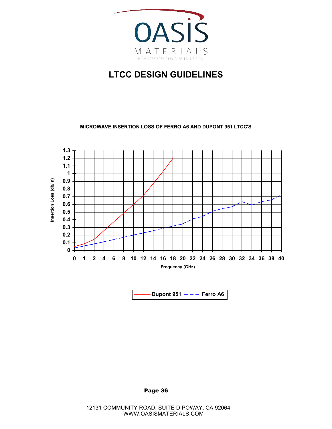

**MICROWAVE INSERTION LOSS OF FERRO A6 AND DUPONT 951 LTCC'S**



**Dupont 951**  $- -$  **Ferro A6**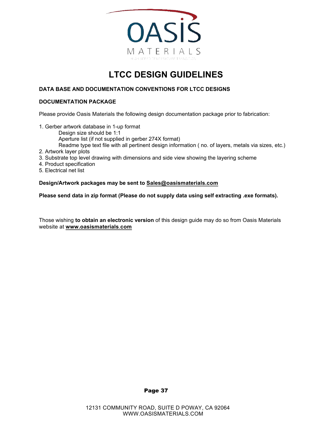

#### **DATA BASE AND DOCUMENTATION CONVENTIONS FOR LTCC DESIGNS**

#### **DOCUMENTATION PACKAGE**

Please provide Oasis Materials the following design documentation package prior to fabrication:

- 1. Gerber artwork database in 1-up format Design size should be 1:1 Aperture list (if not supplied in gerber 274X format) Readme type text file with all pertinent design information ( no. of layers, metals via sizes, etc.)
- 2. Artwork layer plots
- 3. Substrate top level drawing with dimensions and side view showing the layering scheme
- 4. Product specification
- 5. Electrical net list

#### **Design/Artwork packages may be sent to Sales@oasismaterials.com**

**Please send data in zip format (Please do not supply data using self extracting .exe formats).**

Those wishing **to obtain an electronic version** of this design guide may do so from Oasis Materials website at **www.oasismaterials**.**com**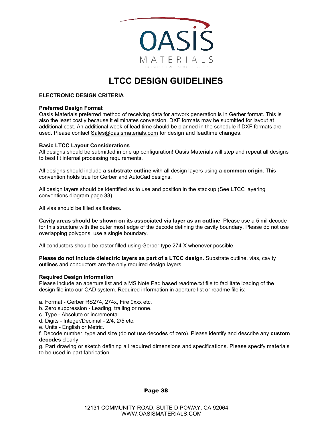

#### **ELECTRONIC DESIGN CRITERIA**

#### **Preferred Design Format**

Oasis Materials preferred method of receiving data for artwork generation is in Gerber format. This is also the least costly because it eliminates conversion. DXF formats may be submitted for layout at additional cost. An additional week of lead time should be planned in the schedule if DXF formats are used. Please contact <u>Sales@oasismaterials.com</u> for design and leadtime changes.

#### **Basic LTCC Layout Considerations**

All designs should be submitted in one up configuration! Oasis Materials will step and repeat all designs to best fit internal processing requirements.

All designs should include a **substrate outline** with all design layers using a **common origin**. This convention holds true for Gerber and AutoCad designs.

All design layers should be identified as to use and position in the stackup (See LTCC layering conventions diagram page 33).

All vias should be filled as flashes.

**Cavity areas should be shown on its associated via layer as an outline**. Please use a 5 mil decode for this structure with the outer most edge of the decode defining the cavity boundary. Please do not use overlapping polygons, use a single boundary.

All conductors should be rastor filled using Gerber type 274 X whenever possible.

**Please do not include dielectric layers as part of a LTCC design**. Substrate outline, vias, cavity outlines and conductors are the only required design layers.

#### **Required Design Information**

Please include an aperture list and a MS Note Pad based readme.txt file to facilitate loading of the design file into our CAD system. Required information in aperture list or readme file is:

- a. Format Gerber RS274, 274x, Fire 9xxx etc.
- b. Zero suppression Leading, trailing or none.
- c. Type Absolute or incremental
- d. Digits Integer/Decimal 2/4, 2/5 etc.
- e. Units English or Metric.

f. Decode number, type and size (do not use decodes of zero). Please identify and describe any **custom decodes** clearly.

g. Part drawing or sketch defining all required dimensions and specifications. Please specify materials to be used in part fabrication.